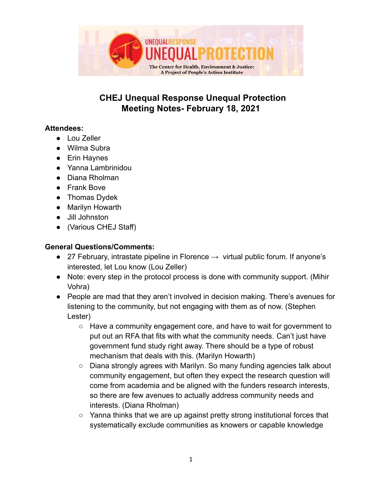

# **CHEJ Unequal Response Unequal Protection Meeting Notes- February 18, 2021**

#### **Attendees:**

- Lou Zeller
- Wilma Subra
- Erin Haynes
- Yanna Lambrinidou
- Diana Rholman
- Frank Bove
- Thomas Dydek
- Marilyn Howarth
- Jill Johnston
- (Various CHEJ Staff)

#### **General Questions/Comments:**

- $\bullet$  27 February, intrastate pipeline in Florence  $\rightarrow$  virtual public forum. If anyone's interested, let Lou know (Lou Zeller)
- Note: every step in the protocol process is done with community support. (Mihir Vohra)
- People are mad that they aren't involved in decision making. There's avenues for listening to the community, but not engaging with them as of now. (Stephen Lester)
	- Have a community engagement core, and have to wait for government to put out an RFA that fits with what the community needs. Can't just have government fund study right away. There should be a type of robust mechanism that deals with this. (Marilyn Howarth)
	- Diana strongly agrees with Marilyn. So many funding agencies talk about community engagement, but often they expect the research question will come from academia and be aligned with the funders research interests, so there are few avenues to actually address community needs and interests. (Diana Rholman)
	- Yanna thinks that we are up against pretty strong institutional forces that systematically exclude communities as knowers or capable knowledge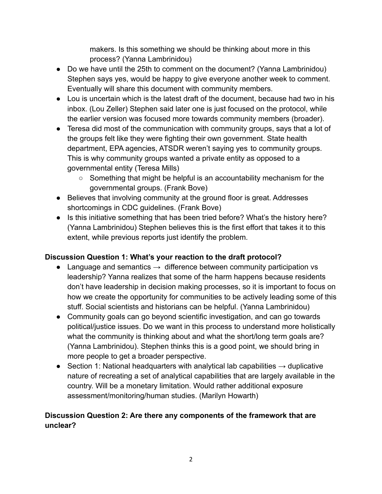makers. Is this something we should be thinking about more in this process? (Yanna Lambrinidou)

- Do we have until the 25th to comment on the document? (Yanna Lambrinidou) Stephen says yes, would be happy to give everyone another week to comment. Eventually will share this document with community members.
- Lou is uncertain which is the latest draft of the document, because had two in his inbox. (Lou Zeller) Stephen said later one is just focused on the protocol, while the earlier version was focused more towards community members (broader).
- Teresa did most of the communication with community groups, says that a lot of the groups felt like they were fighting their own government. State health department, EPA agencies, ATSDR weren't saying yes to community groups. This is why community groups wanted a private entity as opposed to a governmental entity (Teresa Mills)
	- Something that might be helpful is an accountability mechanism for the governmental groups. (Frank Bove)
- Believes that involving community at the ground floor is great. Addresses shortcomings in CDC guidelines. (Frank Bove)
- Is this initiative something that has been tried before? What's the history here? (Yanna Lambrinidou) Stephen believes this is the first effort that takes it to this extent, while previous reports just identify the problem.

## **Discussion Question 1: What's your reaction to the draft protocol?**

- Language and semantics  $\rightarrow$  difference between community participation vs leadership? Yanna realizes that some of the harm happens because residents don't have leadership in decision making processes, so it is important to focus on how we create the opportunity for communities to be actively leading some of this stuff. Social scientists and historians can be helpful. (Yanna Lambrinidou)
- Community goals can go beyond scientific investigation, and can go towards political/justice issues. Do we want in this process to understand more holistically what the community is thinking about and what the short/long term goals are? (Yanna Lambrinidou). Stephen thinks this is a good point, we should bring in more people to get a broader perspective.
- $\bullet$  Section 1: National headquarters with analytical lab capabilities  $\rightarrow$  duplicative nature of recreating a set of analytical capabilities that are largely available in the country. Will be a monetary limitation. Would rather additional exposure assessment/monitoring/human studies. (Marilyn Howarth)

## **Discussion Question 2: Are there any components of the framework that are unclear?**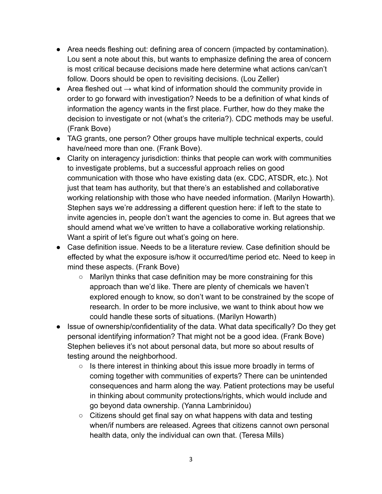- Area needs fleshing out: defining area of concern (impacted by contamination). Lou sent a note about this, but wants to emphasize defining the area of concern is most critical because decisions made here determine what actions can/can't follow. Doors should be open to revisiting decisions. (Lou Zeller)
- Area fleshed out  $\rightarrow$  what kind of information should the community provide in order to go forward with investigation? Needs to be a definition of what kinds of information the agency wants in the first place. Further, how do they make the decision to investigate or not (what's the criteria?). CDC methods may be useful. (Frank Bove)
- TAG grants, one person? Other groups have multiple technical experts, could have/need more than one. (Frank Bove).
- Clarity on interagency jurisdiction: thinks that people can work with communities to investigate problems, but a successful approach relies on good communication with those who have existing data (ex. CDC, ATSDR, etc.). Not just that team has authority, but that there's an established and collaborative working relationship with those who have needed information. (Marilyn Howarth). Stephen says we're addressing a different question here: if left to the state to invite agencies in, people don't want the agencies to come in. But agrees that we should amend what we've written to have a collaborative working relationship. Want a spirit of let's figure out what's going on here.
- Case definition issue. Needs to be a literature review. Case definition should be effected by what the exposure is/how it occurred/time period etc. Need to keep in mind these aspects. (Frank Bove)
	- $\circ$  Marilyn thinks that case definition may be more constraining for this approach than we'd like. There are plenty of chemicals we haven't explored enough to know, so don't want to be constrained by the scope of research. In order to be more inclusive, we want to think about how we could handle these sorts of situations. (Marilyn Howarth)
- Issue of ownership/confidentiality of the data. What data specifically? Do they get personal identifying information? That might not be a good idea. (Frank Bove) Stephen believes it's not about personal data, but more so about results of testing around the neighborhood.
	- $\circ$  Is there interest in thinking about this issue more broadly in terms of coming together with communities of experts? There can be unintended consequences and harm along the way. Patient protections may be useful in thinking about community protections/rights, which would include and go beyond data ownership. (Yanna Lambrinidou)
	- Citizens should get final say on what happens with data and testing when/if numbers are released. Agrees that citizens cannot own personal health data, only the individual can own that. (Teresa Mills)